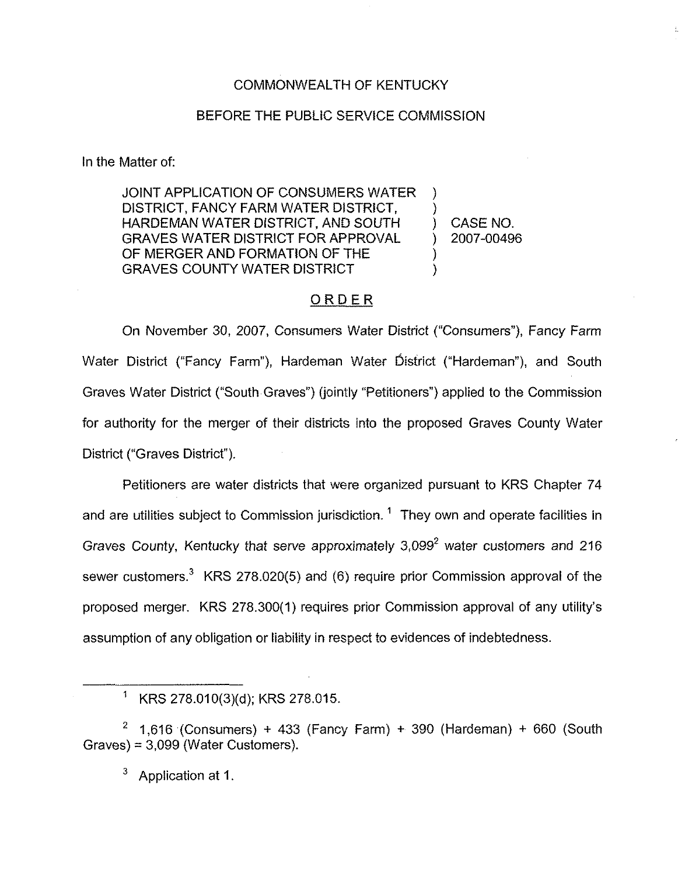### COMMONWEALTH OF KENTUCKY

#### BEFORE THE PUBLIC SERVICE COMMISSION

In the Matter of:

JOINT APPLICATION OF CONSUMERS WATER DISTRICT, FANCY FARM WATER DISTRICT, HARDEMAN WATER DISTRICT, AND SOUTH GRAVES WATER DISTRICT FOR APPROVAL OF MERGER AND FORMATION OF THE GRAVES COUNTY WATER DISTRICT

) CASE NO. ) 2007-00496

)

)

) )

### ORDER

On November 30, 2007, Consumers Water District ("Consumers"), Fancy Farm Water District ("Fancy Farm"), Hardeman Water District ("Hardeman"), and South Graves Water District ("South Graves"} (jointly "Petitioners" ) applied to the Commission for authority for the merger of their districts into the proposed Graves County Water District ("Graves District").

Petitioners are water districts that were organized pursuant to KRS Chapter 74 and are utilities subject to Commission jurisdiction.<sup>1</sup> They own and operate facilities in Graves County, Kentucky that serve approximately  $3.099<sup>2</sup>$  water customers and 216 sewer customers.<sup>3</sup> KRS 278.020(5) and (6) require prior Commission approval of the proposed merger. KRS 278.300(1) requires prior Commission approval of any utility's assumption of any obligation or liability in respect to evidences of indebtedness.

3 Application at 1.

 $1$  KRS 278.010(3)(d); KRS 278.015.

<sup>&</sup>lt;sup>2</sup> 1,616 (Consumers) + 433 (Fancy Farm) + 390 (Hardeman) + 660 (South Graves) = 3,099 (Water Customers).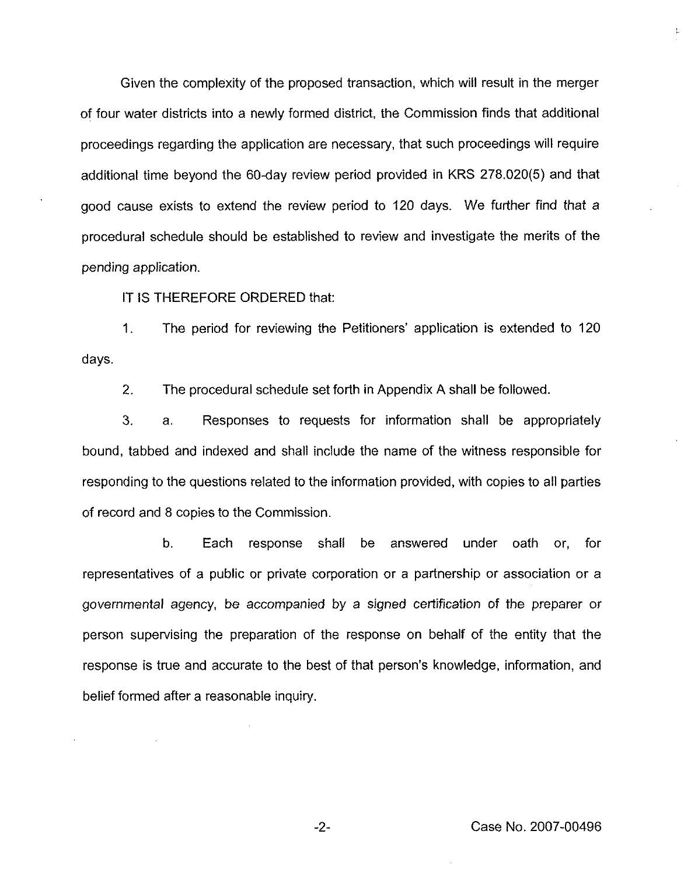Given the complexity of the proposed transaction, which will result in the merger of four water districts into a newly formed district, the Commission finds that additional proceedings regarding the application are necessary, that such proceedings will require additional time beyond the 60-day review period provided in KRS 278.020(5) and that good cause exists to extend the review period to 120 days. We further find that a procedural schedule should be established to review and investigate the merits of the pending application.

IT IS THEREFORE ORDERED that:

1. The period for reviewing the Petitioners'pplication is extended to 120 days.

2. The procedural schedule set forth in Appendix A shall be followed.

3. a. Responses to requests for information shall be appropriately bound, tabbed and indexed and shall include the name of the witness responsible for responding to the questions related to the information provided, with copies to all parties of record and 8 copies to the Commission.

b, Each response shall be answered under oath or, for representatives of a public or private corporation or a partnership or association or a governmental agency, be accompanied by a signed certification of the preparer or person supervising the preparation of the response on behalf of the entity that the response is true and accurate to the best of that person's knowledge, information, and belief formed after a reasonable inquiry.

t.

 $-2-$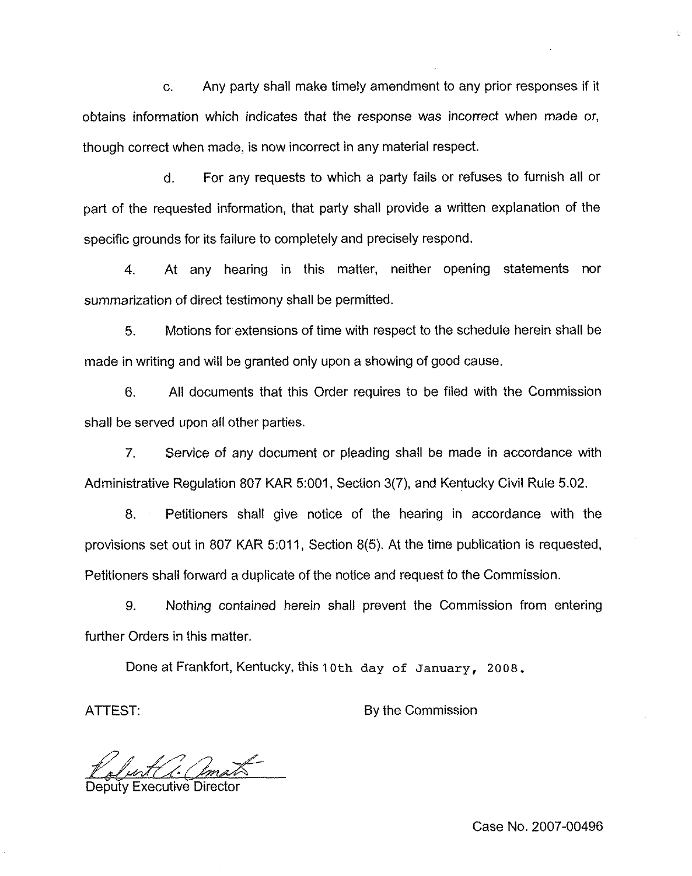c. Any party shall make timely amendment to any prior responses if it obtains information which indicates that the response was incorrect when made or, though correct when made, is now incorrect in any material respect.

d. For any requests to which a party fails or refuses to furnish all or part of the requested information, that party shall provide a written explanation of the specific grounds for its failure to completely and precisely respond.

4. At any hearing in this matter, neither opening statements nor summarization of direct testimony shall be permitted.

5. Motions for extensions of time with respect to the schedule herein shall be made in writing and will be granted only upon a showing of good cause.

6, All documents that this Order requires to be filed with the Commission shall be served upon all other parties.

7. Service of any document or pleading shall be made in accordance with Administrative Regulation 807 KAR 5:001, Section 3(7), and Kentucky Civil Rule 5.02.

8. Petitioners shall give notice of the hearing in accordance with the provisions set out in 807 KAR 5:011, Section 8(5). At the time publication is requested, Petitioners shall forward a duplicate of the notice and request to the Commission.

9. Nothing contained herein shall prevent the Commission from entering further Orders in this matter.

Done at Frankfort, Kentucky, this 10th day of January, 2008.

ATTEST: By the Commission

Deputy Executive Director

Case No. 2007-00496

 $\bar{\nu}$  .